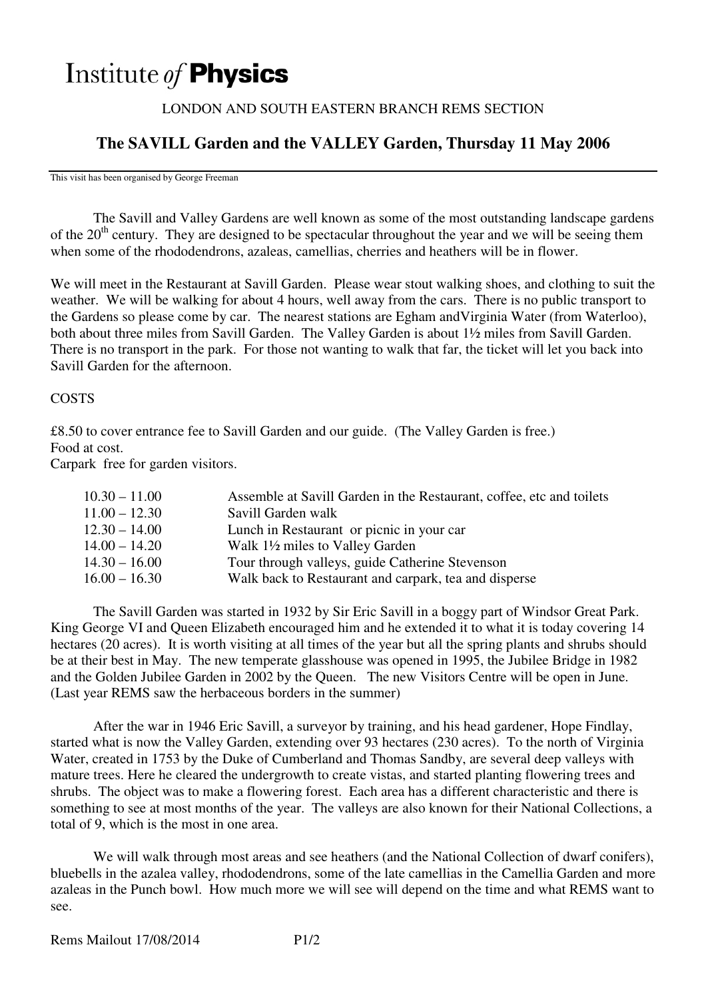# Institute of **Physics**

#### LONDON AND SOUTH EASTERN BRANCH REMS SECTION

## **The SAVILL Garden and the VALLEY Garden, Thursday 11 May 2006**

This visit has been organised by George Freeman

 The Savill and Valley Gardens are well known as some of the most outstanding landscape gardens of the 20<sup>th</sup> century. They are designed to be spectacular throughout the year and we will be seeing them when some of the rhododendrons, azaleas, camellias, cherries and heathers will be in flower.

We will meet in the Restaurant at Savill Garden. Please wear stout walking shoes, and clothing to suit the weather. We will be walking for about 4 hours, well away from the cars. There is no public transport to the Gardens so please come by car. The nearest stations are Egham andVirginia Water (from Waterloo), both about three miles from Savill Garden. The Valley Garden is about 1½ miles from Savill Garden. There is no transport in the park. For those not wanting to walk that far, the ticket will let you back into Savill Garden for the afternoon.

#### **COSTS**

£8.50 to cover entrance fee to Savill Garden and our guide. (The Valley Garden is free.) Food at cost.

Carpark free for garden visitors.

| $10.30 - 11.00$ | Assemble at Savill Garden in the Restaurant, coffee, etc and toilets |
|-----------------|----------------------------------------------------------------------|
| $11.00 - 12.30$ | Savill Garden walk                                                   |
| $12.30 - 14.00$ | Lunch in Restaurant or picnic in your car                            |
| $14.00 - 14.20$ | Walk 1 <sup>1</sup> / <sub>2</sub> miles to Valley Garden            |
| $14.30 - 16.00$ | Tour through valleys, guide Catherine Stevenson                      |
| $16.00 - 16.30$ | Walk back to Restaurant and carpark, tea and disperse                |
|                 |                                                                      |

 The Savill Garden was started in 1932 by Sir Eric Savill in a boggy part of Windsor Great Park. King George VI and Queen Elizabeth encouraged him and he extended it to what it is today covering 14 hectares (20 acres). It is worth visiting at all times of the year but all the spring plants and shrubs should be at their best in May. The new temperate glasshouse was opened in 1995, the Jubilee Bridge in 1982 and the Golden Jubilee Garden in 2002 by the Queen. The new Visitors Centre will be open in June. (Last year REMS saw the herbaceous borders in the summer)

 After the war in 1946 Eric Savill, a surveyor by training, and his head gardener, Hope Findlay, started what is now the Valley Garden, extending over 93 hectares (230 acres). To the north of Virginia Water, created in 1753 by the Duke of Cumberland and Thomas Sandby, are several deep valleys with mature trees. Here he cleared the undergrowth to create vistas, and started planting flowering trees and shrubs. The object was to make a flowering forest. Each area has a different characteristic and there is something to see at most months of the year. The valleys are also known for their National Collections, a total of 9, which is the most in one area.

 We will walk through most areas and see heathers (and the National Collection of dwarf conifers), bluebells in the azalea valley, rhododendrons, some of the late camellias in the Camellia Garden and more azaleas in the Punch bowl. How much more we will see will depend on the time and what REMS want to see.